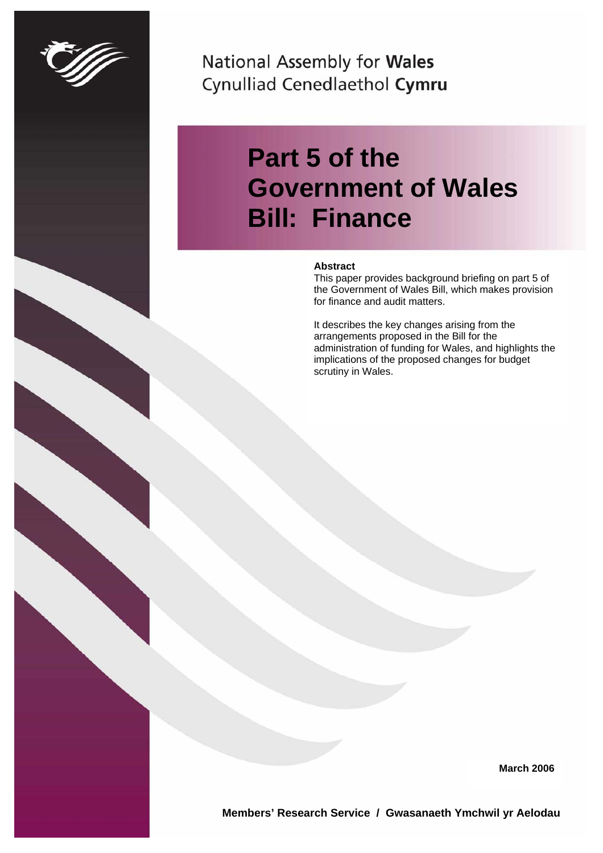

National Assembly for Wales Cynulliad Cenedlaethol Cymru

# **Part 5 of the Government of Wales Bill: Finance**

#### **Abstract**

This paper provides background briefing on part 5 of the Government of Wales Bill, which makes provision for finance and audit matters.

It describes the key changes arising from the arrangements proposed in the Bill for the administration of funding for Wales, and highlights the implications of the proposed changes for budget scrutiny in Wales.

**March 2006** 

**Members' Research Service / Gwasanaeth Ymchwil yr Aelodau**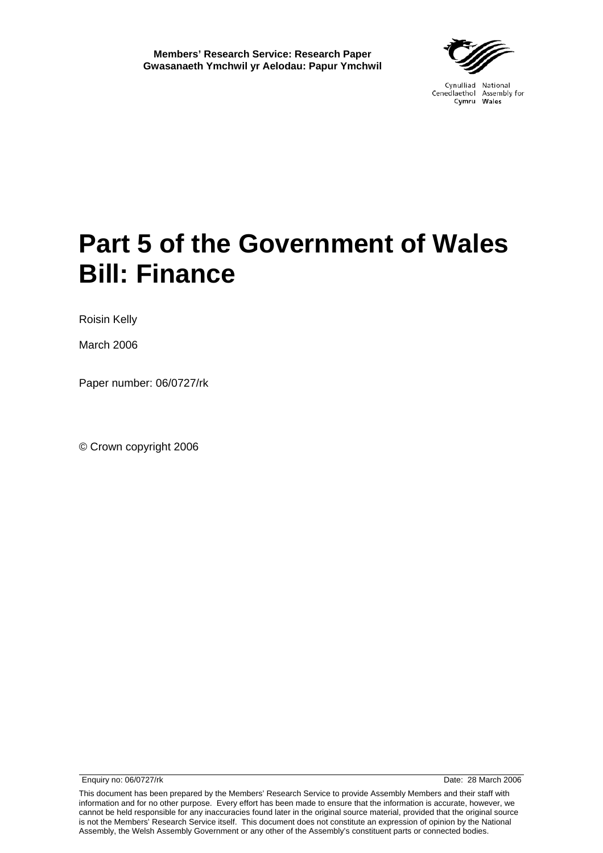# **Part 5 of the Government of Wales Bill: Finance**

Roisin Kelly

March 2006

Paper number: 06/0727/rk

© Crown copyright 2006

Enquiry no: 06/0727/rk Date: 28 March 2006

This document has been prepared by the Members' Research Service to provide Assembly Members and their staff with information and for no other purpose. Every effort has been made to ensure that the information is accurate, however, we cannot be held responsible for any inaccuracies found later in the original source material, provided that the original source is not the Members' Research Service itself. This document does not constitute an expression of opinion by the National Assembly, the Welsh Assembly Government or any other of the Assembly's constituent parts or connected bodies.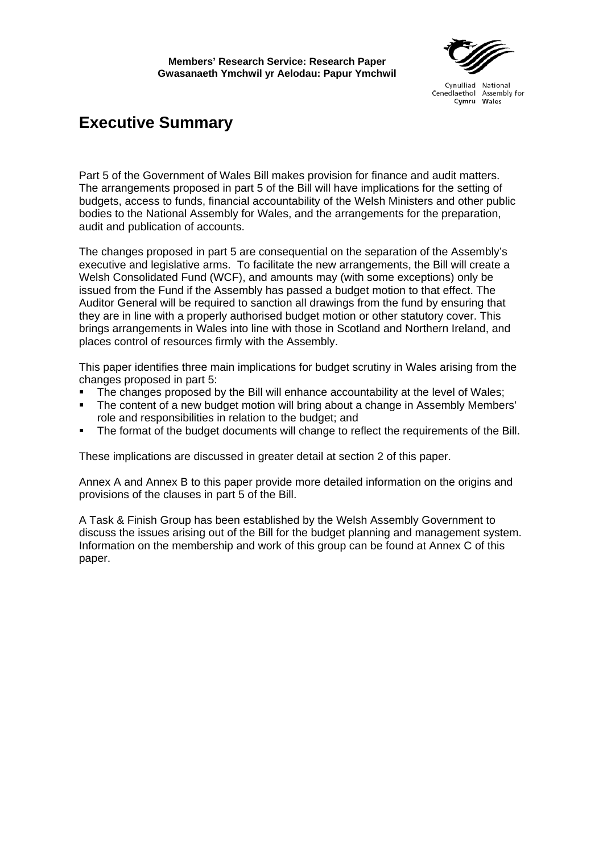# **Executive Summary**

Part 5 of the Government of Wales Bill makes provision for finance and audit matters. The arrangements proposed in part 5 of the Bill will have implications for the setting of budgets, access to funds, financial accountability of the Welsh Ministers and other public bodies to the National Assembly for Wales, and the arrangements for the preparation, audit and publication of accounts.

The changes proposed in part 5 are consequential on the separation of the Assembly's executive and legislative arms. To facilitate the new arrangements, the Bill will create a Welsh Consolidated Fund (WCF), and amounts may (with some exceptions) only be issued from the Fund if the Assembly has passed a budget motion to that effect. The Auditor General will be required to sanction all drawings from the fund by ensuring that they are in line with a properly authorised budget motion or other statutory cover. This brings arrangements in Wales into line with those in Scotland and Northern Ireland, and places control of resources firmly with the Assembly.

This paper identifies three main implications for budget scrutiny in Wales arising from the changes proposed in part 5:

- The changes proposed by the Bill will enhance accountability at the level of Wales;
- The content of a new budget motion will bring about a change in Assembly Members' role and responsibilities in relation to the budget; and
- The format of the budget documents will change to reflect the requirements of the Bill.

These implications are discussed in greater detail at section 2 of this paper.

Annex A and Annex B to this paper provide more detailed information on the origins and provisions of the clauses in part 5 of the Bill.

A Task & Finish Group has been established by the Welsh Assembly Government to discuss the issues arising out of the Bill for the budget planning and management system. Information on the membership and work of this group can be found at Annex C of this paper.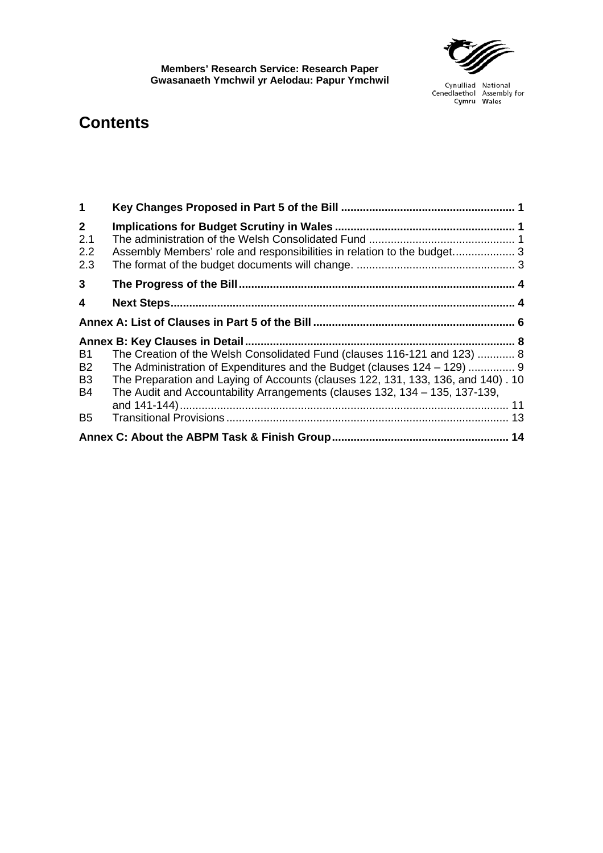

# **Contents**

| $\blacktriangleleft$                         |                                                                                                                                                                                                                                                                                                                         |  |  |  |  |
|----------------------------------------------|-------------------------------------------------------------------------------------------------------------------------------------------------------------------------------------------------------------------------------------------------------------------------------------------------------------------------|--|--|--|--|
| $2^{\circ}$<br>2.1<br>2.2<br>2.3             | Assembly Members' role and responsibilities in relation to the budget 3                                                                                                                                                                                                                                                 |  |  |  |  |
| $\mathbf{3}$                                 |                                                                                                                                                                                                                                                                                                                         |  |  |  |  |
| 4                                            |                                                                                                                                                                                                                                                                                                                         |  |  |  |  |
|                                              |                                                                                                                                                                                                                                                                                                                         |  |  |  |  |
| B1<br>B <sub>2</sub><br>B <sub>3</sub><br>B4 | The Creation of the Welsh Consolidated Fund (clauses 116-121 and 123)  8<br>The Administration of Expenditures and the Budget (clauses 124 – 129)  9<br>The Preparation and Laying of Accounts (clauses 122, 131, 133, 136, and 140). 10<br>The Audit and Accountability Arrangements (clauses 132, 134 - 135, 137-139, |  |  |  |  |
| B <sub>5</sub>                               |                                                                                                                                                                                                                                                                                                                         |  |  |  |  |
|                                              |                                                                                                                                                                                                                                                                                                                         |  |  |  |  |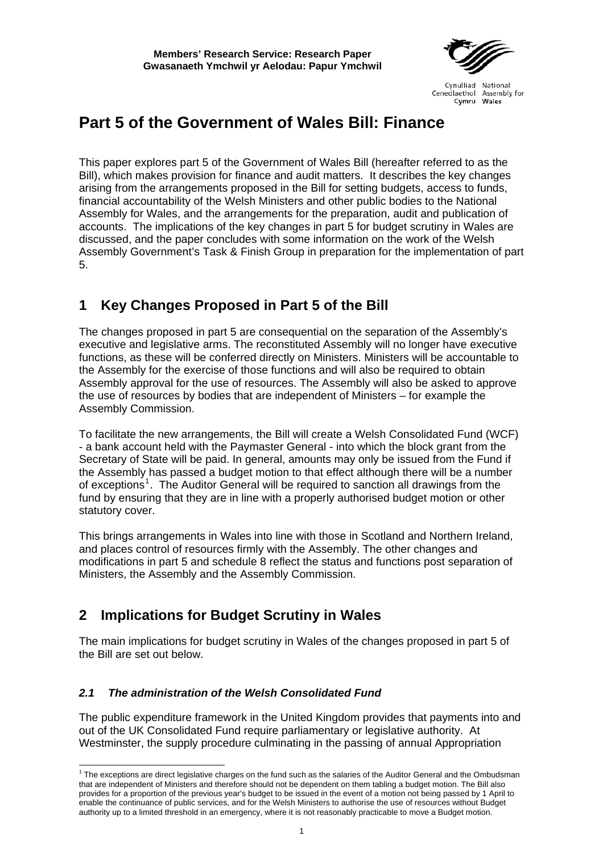

# <span id="page-8-0"></span>**Part 5 of the Government of Wales Bill: Finance**

This paper explores part 5 of the Government of Wales Bill (hereafter referred to as the Bill), which makes provision for finance and audit matters. It describes the key changes arising from the arrangements proposed in the Bill for setting budgets, access to funds, financial accountability of the Welsh Ministers and other public bodies to the National Assembly for Wales, and the arrangements for the preparation, audit and publication of accounts. The implications of the key changes in part 5 for budget scrutiny in Wales are discussed, and the paper concludes with some information on the work of the Welsh Assembly Government's Task & Finish Group in preparation for the implementation of part 5.

# **1 Key Changes Proposed in Part 5 of the Bill**

The changes proposed in part 5 are consequential on the separation of the Assembly's executive and legislative arms. The reconstituted Assembly will no longer have executive functions, as these will be conferred directly on Ministers. Ministers will be accountable to the Assembly for the exercise of those functions and will also be required to obtain Assembly approval for the use of resources. The Assembly will also be asked to approve the use of resources by bodies that are independent of Ministers – for example the Assembly Commission.

To facilitate the new arrangements, the Bill will create a Welsh Consolidated Fund (WCF) - a bank account held with the Paymaster General - into which the block grant from the Secretary of State will be paid. In general, amounts may only be issued from the Fund if the Assembly has passed a budget motion to that effect although there will be a number of exceptions<sup>[1](#page-8-1)</sup>. The Auditor General will be required to sanction all drawings from the fund by ensuring that they are in line with a properly authorised budget motion or other statutory cover.

This brings arrangements in Wales into line with those in Scotland and Northern Ireland, and places control of resources firmly with the Assembly. The other changes and modifications in part 5 and schedule 8 reflect the status and functions post separation of Ministers, the Assembly and the Assembly Commission.

# **2 Implications for Budget Scrutiny in Wales**

The main implications for budget scrutiny in Wales of the changes proposed in part 5 of the Bill are set out below.

# *2.1 The administration of the Welsh Consolidated Fund*

The public expenditure framework in the United Kingdom provides that payments into and out of the UK Consolidated Fund require parliamentary or legislative authority. At Westminster, the supply procedure culminating in the passing of annual Appropriation

<span id="page-8-1"></span><sup>&</sup>lt;sup>1</sup> The exceptions are direct legislative charges on the fund such as the salaries of the Auditor General and the Ombudsman that are independent of Ministers and therefore should not be dependent on them tabling a budget motion. The Bill also provides for a proportion of the previous year's budget to be issued in the event of a motion not being passed by 1 April to enable the continuance of public services, and for the Welsh Ministers to authorise the use of resources without Budget authority up to a limited threshold in an emergency, where it is not reasonably practicable to move a Budget motion.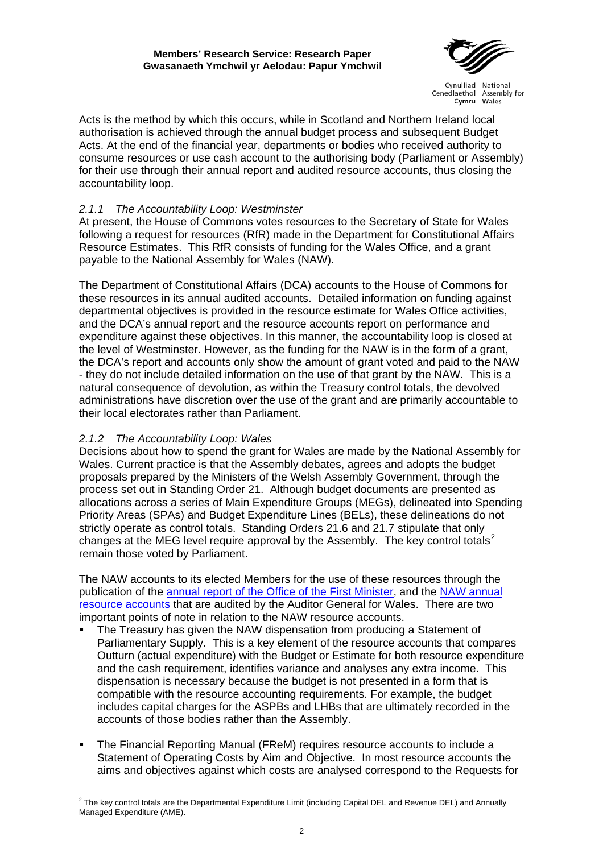

Acts is the method by which this occurs, while in Scotland and Northern Ireland local authorisation is achieved through the annual budget process and subsequent Budget Acts. At the end of the financial year, departments or bodies who received authority to consume resources or use cash account to the authorising body (Parliament or Assembly) for their use through their annual report and audited resource accounts, thus closing the accountability loop.

## *2.1.1 The Accountability Loop: Westminster*

At present, the House of Commons votes resources to the Secretary of State for Wales following a request for resources (RfR) made in the Department for Constitutional Affairs Resource Estimates. This RfR consists of funding for the Wales Office, and a grant payable to the National Assembly for Wales (NAW).

The Department of Constitutional Affairs (DCA) accounts to the House of Commons for these resources in its annual audited accounts. Detailed information on funding against departmental objectives is provided in the resource estimate for Wales Office activities, and the DCA's annual report and the resource accounts report on performance and expenditure against these objectives. In this manner, the accountability loop is closed at the level of Westminster. However, as the funding for the NAW is in the form of a grant, the DCA's report and accounts only show the amount of grant voted and paid to the NAW - they do not include detailed information on the use of that grant by the NAW. This is a natural consequence of devolution, as within the Treasury control totals, the devolved administrations have discretion over the use of the grant and are primarily accountable to their local electorates rather than Parliament.

# *2.1.2 The Accountability Loop: Wales*

Decisions about how to spend the grant for Wales are made by the National Assembly for Wales. Current practice is that the Assembly debates, agrees and adopts the budget proposals prepared by the Ministers of the Welsh Assembly Government, through the process set out in Standing Order 21. Although budget documents are presented as allocations across a series of Main Expenditure Groups (MEGs), delineated into Spending Priority Areas (SPAs) and Budget Expenditure Lines (BELs), these delineations do not strictly operate as control totals. Standing Orders 21.6 and 21.7 stipulate that only changes at the MEG level require approval by the Assembly. The key control totals<sup>[2](#page-9-0)</sup> remain those voted by Parliament.

The NAW accounts to its elected Members for the use of these resources through the publication of the [annual report of the Office of the First Minister](http://www.wales.gov.uk/keypubannualreports/content/2005/contents-e.htm), and the [NAW annual](http://www.wales.gov.uk/assemblydata/N0000000000000000000000000036924.pdf)  [resource accounts](http://www.wales.gov.uk/assemblydata/N0000000000000000000000000036924.pdf) that are audited by the Auditor General for Wales. There are two important points of note in relation to the NAW resource accounts.

- The Treasury has given the NAW dispensation from producing a Statement of Parliamentary Supply. This is a key element of the resource accounts that compares Outturn (actual expenditure) with the Budget or Estimate for both resource expenditure and the cash requirement, identifies variance and analyses any extra income. This dispensation is necessary because the budget is not presented in a form that is compatible with the resource accounting requirements. For example, the budget includes capital charges for the ASPBs and LHBs that are ultimately recorded in the accounts of those bodies rather than the Assembly.
- The Financial Reporting Manual (FReM) requires resource accounts to include a Statement of Operating Costs by Aim and Objective. In most resource accounts the aims and objectives against which costs are analysed correspond to the Requests for

<span id="page-9-0"></span> 2 The key control totals are the Departmental Expenditure Limit (including Capital DEL and Revenue DEL) and Annually Managed Expenditure (AME).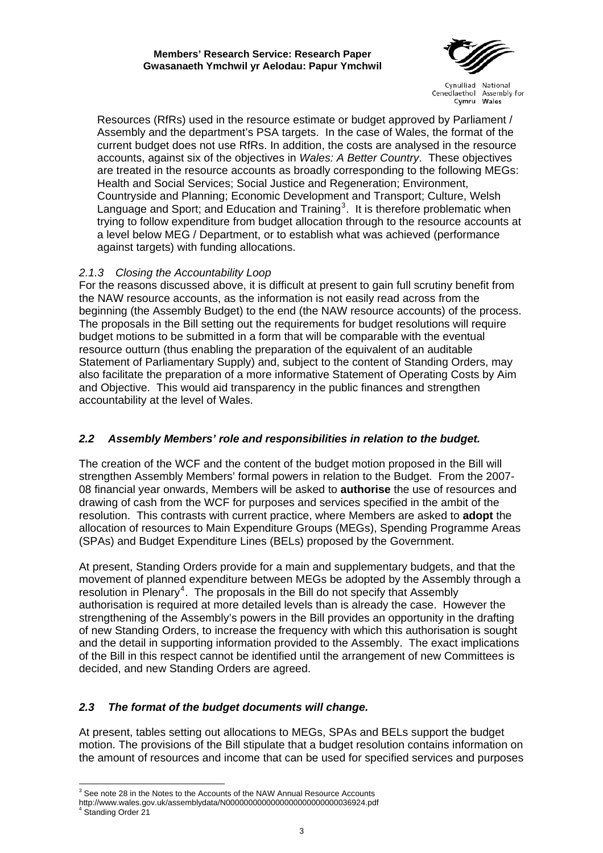

<span id="page-10-0"></span>Resources (RfRs) used in the resource estimate or budget approved by Parliament / Assembly and the department's PSA targets. In the case of Wales, the format of the current budget does not use RfRs. In addition, the costs are analysed in the resource accounts, against six of the objectives in *Wales: A Better Country*. These objectives are treated in the resource accounts as broadly corresponding to the following MEGs: Health and Social Services; Social Justice and Regeneration; Environment, Countryside and Planning; Economic Development and Transport; Culture, Welsh Language and Sport; and Education and Training<sup>[3](#page-10-1)</sup>. It is therefore problematic when trying to follow expenditure from budget allocation through to the resource accounts at a level below MEG / Department, or to establish what was achieved (performance against targets) with funding allocations.

# *2.1.3 Closing the Accountability Loop*

For the reasons discussed above, it is difficult at present to gain full scrutiny benefit from the NAW resource accounts, as the information is not easily read across from the beginning (the Assembly Budget) to the end (the NAW resource accounts) of the process. The proposals in the Bill setting out the requirements for budget resolutions will require budget motions to be submitted in a form that will be comparable with the eventual resource outturn (thus enabling the preparation of the equivalent of an auditable Statement of Parliamentary Supply) and, subject to the content of Standing Orders, may also facilitate the preparation of a more informative Statement of Operating Costs by Aim and Objective. This would aid transparency in the public finances and strengthen accountability at the level of Wales.

# *2.2 Assembly Members' role and responsibilities in relation to the budget.*

The creation of the WCF and the content of the budget motion proposed in the Bill will strengthen Assembly Members' formal powers in relation to the Budget. From the 2007- 08 financial year onwards, Members will be asked to **authorise** the use of resources and drawing of cash from the WCF for purposes and services specified in the ambit of the resolution. This contrasts with current practice, where Members are asked to **adopt** the allocation of resources to Main Expenditure Groups (MEGs), Spending Programme Areas (SPAs) and Budget Expenditure Lines (BELs) proposed by the Government.

At present, Standing Orders provide for a main and supplementary budgets, and that the movement of planned expenditure between MEGs be adopted by the Assembly through a  $resolution$  in Plenary<sup>[4](#page-10-2)</sup>. The proposals in the Bill do not specify that Assembly authorisation is required at more detailed levels than is already the case. However the strengthening of the Assembly's powers in the Bill provides an opportunity in the drafting of new Standing Orders, to increase the frequency with which this authorisation is sought and the detail in supporting information provided to the Assembly. The exact implications of the Bill in this respect cannot be identified until the arrangement of new Committees is decided, and new Standing Orders are agreed.

# *2.3 The format of the budget documents will change.*

At present, tables setting out allocations to MEGs, SPAs and BELs support the budget motion. The provisions of the Bill stipulate that a budget resolution contains information on the amount of resources and income that can be used for specified services and purposes

<sup>&</sup>lt;sup>3</sup> See note 28 in the Notes to the Accounts of the NAW Annual Resource Accounts

<span id="page-10-2"></span><span id="page-10-1"></span>http://www.wales.gov.uk/assemblydata/N0000000000000000000000000036924.pdf<br><sup>4</sup> Standing Order 21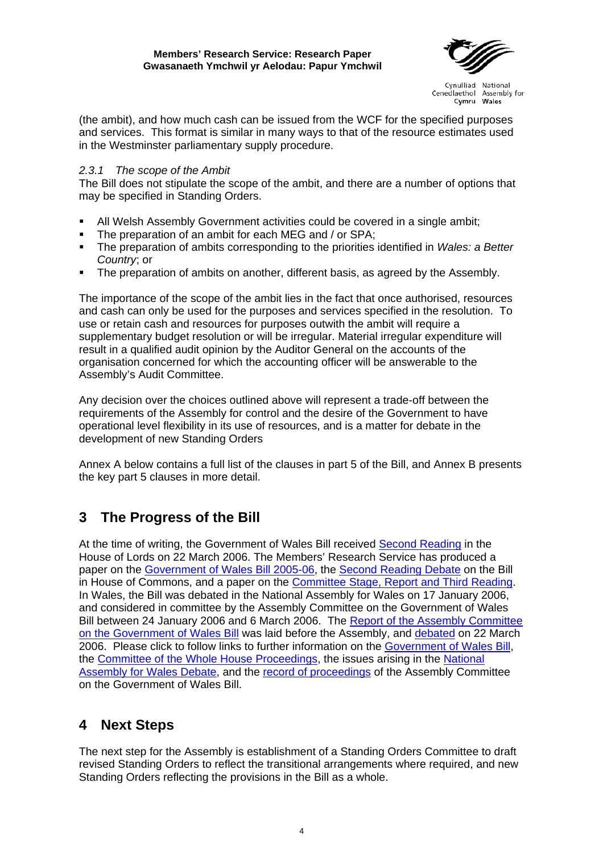

<span id="page-11-0"></span>(the ambit), and how much cash can be issued from the WCF for the specified purposes and services. This format is similar in many ways to that of the resource estimates used in the Westminster parliamentary supply procedure.

#### *2.3.1 The scope of the Ambit*

The Bill does not stipulate the scope of the ambit, and there are a number of options that may be specified in Standing Orders.

- All Welsh Assembly Government activities could be covered in a single ambit;
- The preparation of an ambit for each MEG and / or SPA;
- The preparation of ambits corresponding to the priorities identified in *Wales: a Better Country*; or
- The preparation of ambits on another, different basis, as agreed by the Assembly.

The importance of the scope of the ambit lies in the fact that once authorised, resources and cash can only be used for the purposes and services specified in the resolution. To use or retain cash and resources for purposes outwith the ambit will require a supplementary budget resolution or will be irregular. Material irregular expenditure will result in a qualified audit opinion by the Auditor General on the accounts of the organisation concerned for which the accounting officer will be answerable to the Assembly's Audit Committee.

Any decision over the choices outlined above will represent a trade-off between the requirements of the Assembly for control and the desire of the Government to have operational level flexibility in its use of resources, and is a matter for debate in the development of new Standing Orders

Annex A below contains a full list of the clauses in part 5 of the Bill, and Annex B presents the key part 5 clauses in more detail.

# **3 The Progress of the Bill**

At the time of writing, the Government of Wales Bill received [Second Reading](http://www.publications.parliament.uk/pa/ld199900/ldhansrd/pdvn/lds06/text/60322-10.htm#60322-10_head0) in the House of Lords on 22 March 2006. The Members' Research Service has produced a paper on the [Government of Wales Bill 2005-06](http://assembly/presidingoffic/mrs/briefings/2006/MRS052952 Govt of Wales Bill  final version.doc), the [Second Reading Debate](http://assembly/presidingoffic/mrs/briefings/2006/MRS060123 Govt of Wales Bill - Second Reading.doc) on the Bill in House of Commons, and a paper on the **Committee Stage**, Report and Third Reading. In Wales, the Bill was debated in the National Assembly for Wales on 17 January 2006, and considered in committee by the Assembly Committee on the Government of Wales Bill between 24 January 2006 and 6 March 2006. The Report of the Assembly Committee [on the Government of Wales Bill](http://www.wales.gov.uk/keypubassemgovofwalesbill/report-0306-e.pdf) was laid before the Assembly, and [debated](http://assembly/rop/ROP/Plenary Session/2006/March/rop060322qv7.pdf) on 22 March 2006. Please click to follow links to further information on the [Government of Wales Bill,](http://www.walesoffice.gov.uk/GoWguide.html) the [Committee of the Whole House Proceedings](http://www.publications.parliament.uk/pa/cm200506/cmbills/100/06100cwh.htm), the issues arising in the National [Assembly for Wales Debate,](http://assembly/rop/ROP/Plenary Session/2006/January/rop060117qv7.pdf) and the [record of proceedings](http://assembly/rop/ROP/Committees/GWB/GWB.htm) of the Assembly Committee on the Government of Wales Bill.

# **4 Next Steps**

The next step for the Assembly is establishment of a Standing Orders Committee to draft revised Standing Orders to reflect the transitional arrangements where required, and new Standing Orders reflecting the provisions in the Bill as a whole.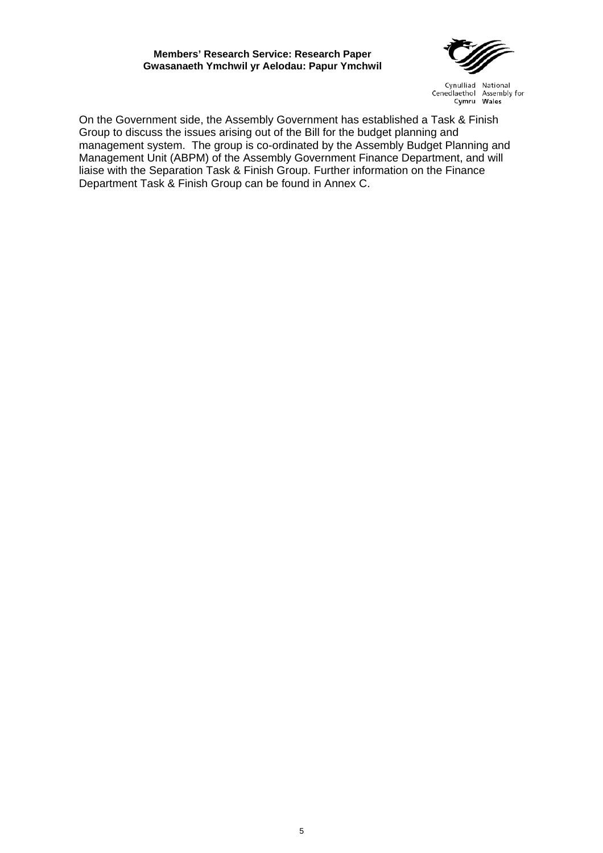#### **Members' Research Service: Research Paper Gwasanaeth Ymchwil yr Aelodau: Papur Ymchwil**



Cynulliad National Cenedlaethol Assembly for Cymru Wales

On the Government side, the Assembly Government has established a Task & Finish Group to discuss the issues arising out of the Bill for the budget planning and management system. The group is co-ordinated by the Assembly Budget Planning and Management Unit (ABPM) of the Assembly Government Finance Department, and will liaise with the Separation Task & Finish Group. Further information on the Finance Department Task & Finish Group can be found in Annex C.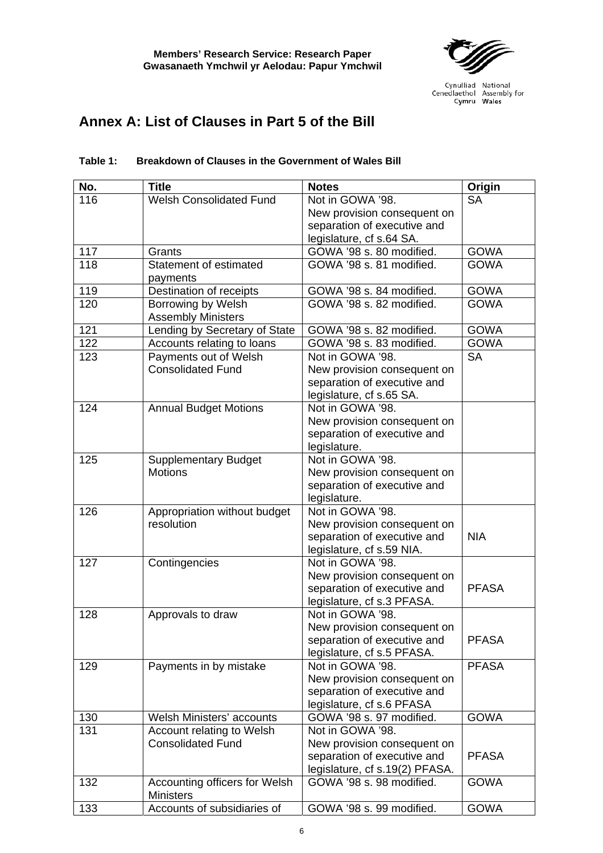

# <span id="page-13-0"></span>**Annex A: List of Clauses in Part 5 of the Bill**

| No. | <b>Title</b>                   | <b>Notes</b>                                              | Origin       |
|-----|--------------------------------|-----------------------------------------------------------|--------------|
| 116 | <b>Welsh Consolidated Fund</b> | Not in GOWA '98.                                          | <b>SA</b>    |
|     |                                | New provision consequent on                               |              |
|     |                                | separation of executive and                               |              |
|     |                                | legislature, cf s.64 SA.                                  |              |
| 117 | Grants                         | GOWA '98 s. 80 modified.                                  | <b>GOWA</b>  |
| 118 | Statement of estimated         | GOWA '98 s. 81 modified.                                  | <b>GOWA</b>  |
|     | payments                       |                                                           |              |
| 119 | Destination of receipts        | GOWA '98 s. 84 modified.                                  | <b>GOWA</b>  |
| 120 | Borrowing by Welsh             | GOWA '98 s. 82 modified.                                  | <b>GOWA</b>  |
|     | <b>Assembly Ministers</b>      |                                                           |              |
| 121 | Lending by Secretary of State  | GOWA '98 s. 82 modified.                                  | <b>GOWA</b>  |
| 122 | Accounts relating to loans     | GOWA '98 s. 83 modified.                                  | <b>GOWA</b>  |
| 123 | Payments out of Welsh          | Not in GOWA '98.                                          | <b>SA</b>    |
|     | <b>Consolidated Fund</b>       | New provision consequent on                               |              |
|     |                                | separation of executive and                               |              |
|     |                                | legislature, cf s.65 SA.                                  |              |
| 124 | <b>Annual Budget Motions</b>   | Not in GOWA '98.                                          |              |
|     |                                | New provision consequent on                               |              |
|     |                                | separation of executive and                               |              |
|     |                                | legislature.                                              |              |
| 125 | <b>Supplementary Budget</b>    | Not in GOWA '98.                                          |              |
|     | <b>Motions</b>                 | New provision consequent on                               |              |
|     |                                | separation of executive and                               |              |
|     |                                | legislature.                                              |              |
| 126 | Appropriation without budget   | Not in GOWA '98.                                          |              |
|     | resolution                     | New provision consequent on                               |              |
|     |                                | separation of executive and                               | <b>NIA</b>   |
|     |                                | legislature, cf s.59 NIA.                                 |              |
| 127 | Contingencies                  | Not in GOWA '98.                                          |              |
|     |                                | New provision consequent on                               | <b>PFASA</b> |
|     |                                | separation of executive and<br>legislature, cf s.3 PFASA. |              |
| 128 | Approvals to draw              | Not in GOWA '98.                                          |              |
|     |                                | New provision consequent on                               |              |
|     |                                | separation of executive and                               | <b>PFASA</b> |
|     |                                | legislature, cf s.5 PFASA.                                |              |
| 129 | Payments in by mistake         | Not in GOWA '98.                                          | <b>PFASA</b> |
|     |                                | New provision consequent on                               |              |
|     |                                | separation of executive and                               |              |
|     |                                | legislature, cf s.6 PFASA                                 |              |
| 130 | Welsh Ministers' accounts      | GOWA '98 s. 97 modified.                                  | <b>GOWA</b>  |
| 131 | Account relating to Welsh      | Not in GOWA '98.                                          |              |
|     | <b>Consolidated Fund</b>       | New provision consequent on                               |              |
|     |                                | separation of executive and                               | <b>PFASA</b> |
|     |                                | legislature, cf s.19(2) PFASA.                            |              |
| 132 | Accounting officers for Welsh  | GOWA '98 s. 98 modified.                                  | <b>GOWA</b>  |
|     | <b>Ministers</b>               |                                                           |              |

#### **Table 1: Breakdown of Clauses in the Government of Wales Bill**

133 Accounts of subsidiaries of GOWA '98 s. 99 modified. GOWA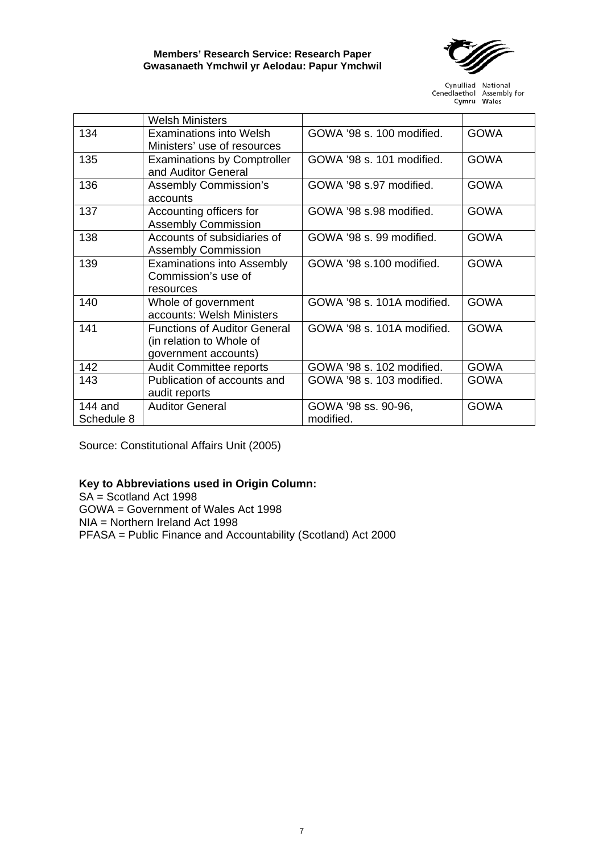

|                       | <b>Welsh Ministers</b>                                                                  |                                  |             |
|-----------------------|-----------------------------------------------------------------------------------------|----------------------------------|-------------|
| 134                   | <b>Examinations into Welsh</b><br>Ministers' use of resources                           | GOWA '98 s. 100 modified.        | <b>GOWA</b> |
| 135                   | <b>Examinations by Comptroller</b><br>and Auditor General                               | GOWA '98 s. 101 modified.        | <b>GOWA</b> |
| 136                   | <b>Assembly Commission's</b><br>accounts                                                | GOWA '98 s.97 modified.          | <b>GOWA</b> |
| 137                   | Accounting officers for<br><b>Assembly Commission</b>                                   | GOWA '98 s.98 modified.          | <b>GOWA</b> |
| 138                   | Accounts of subsidiaries of<br><b>Assembly Commission</b>                               | GOWA '98 s. 99 modified.         | <b>GOWA</b> |
| 139                   | <b>Examinations into Assembly</b><br>Commission's use of<br>resources                   | GOWA '98 s.100 modified.         | <b>GOWA</b> |
| 140                   | Whole of government<br>accounts: Welsh Ministers                                        | GOWA '98 s. 101A modified.       | <b>GOWA</b> |
| 141                   | <b>Functions of Auditor General</b><br>(in relation to Whole of<br>government accounts) | GOWA '98 s. 101A modified.       | <b>GOWA</b> |
| 142                   | <b>Audit Committee reports</b>                                                          | GOWA '98 s. 102 modified.        | <b>GOWA</b> |
| 143                   | Publication of accounts and<br>audit reports                                            | GOWA '98 s. 103 modified.        | <b>GOWA</b> |
| 144 and<br>Schedule 8 | <b>Auditor General</b>                                                                  | GOWA '98 ss. 90-96,<br>modified. | <b>GOWA</b> |

Source: Constitutional Affairs Unit (2005)

## **Key to Abbreviations used in Origin Column:**

SA = Scotland Act 1998 GOWA = Government of Wales Act 1998 NIA = Northern Ireland Act 1998 PFASA = Public Finance and Accountability (Scotland) Act 2000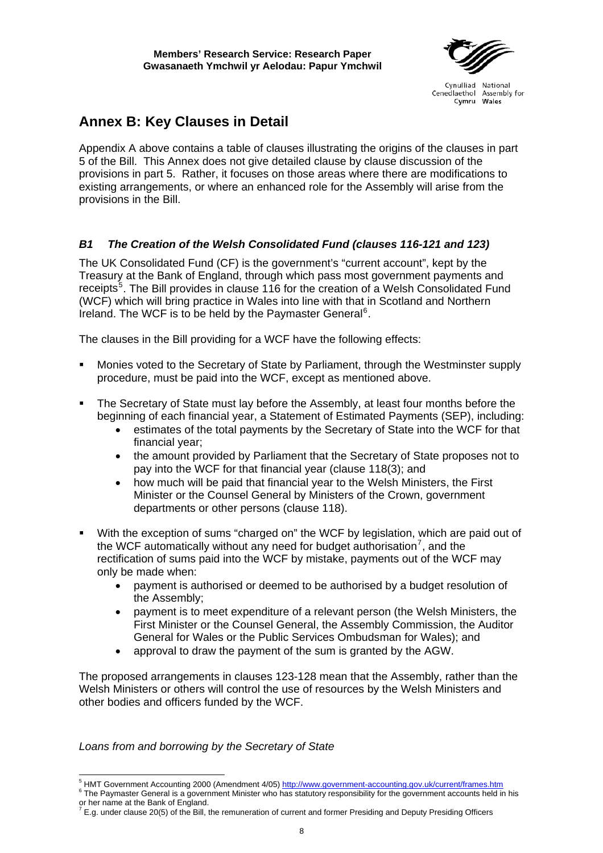# <span id="page-15-0"></span>**Annex B: Key Clauses in Detail**

Appendix A above contains a table of clauses illustrating the origins of the clauses in part 5 of the Bill. This Annex does not give detailed clause by clause discussion of the provisions in part 5. Rather, it focuses on those areas where there are modifications to existing arrangements, or where an enhanced role for the Assembly will arise from the provisions in the Bill.

# *B1 The Creation of the Welsh Consolidated Fund (clauses 116-121 and 123)*

The UK Consolidated Fund (CF) is the government's "current account", kept by the Treasury at the Bank of England, through which pass most government payments and receipts<sup>[5](#page-15-1)</sup>. The Bill provides in clause 116 for the creation of a Welsh Consolidated Fund (WCF) which will bring practice in Wales into line with that in Scotland and Northern Ireland. The WCF is to be held by the Paymaster General<sup>[6](#page-15-2)</sup>.

The clauses in the Bill providing for a WCF have the following effects:

- Monies voted to the Secretary of State by Parliament, through the Westminster supply procedure, must be paid into the WCF, except as mentioned above.
- The Secretary of State must lay before the Assembly, at least four months before the beginning of each financial year, a Statement of Estimated Payments (SEP), including:
	- estimates of the total payments by the Secretary of State into the WCF for that financial year;
	- the amount provided by Parliament that the Secretary of State proposes not to pay into the WCF for that financial year (clause 118(3); and
	- how much will be paid that financial year to the Welsh Ministers, the First Minister or the Counsel General by Ministers of the Crown, government departments or other persons (clause 118).
- With the exception of sums "charged on" the WCF by legislation, which are paid out of the WCF automatically without any need for budget authorisation<sup>[7](#page-15-3)</sup>, and the rectification of sums paid into the WCF by mistake, payments out of the WCF may only be made when:
	- payment is authorised or deemed to be authorised by a budget resolution of the Assembly;
	- payment is to meet expenditure of a relevant person (the Welsh Ministers, the First Minister or the Counsel General, the Assembly Commission, the Auditor General for Wales or the Public Services Ombudsman for Wales); and
	- approval to draw the payment of the sum is granted by the AGW.

The proposed arrangements in clauses 123-128 mean that the Assembly, rather than the Welsh Ministers or others will control the use of resources by the Welsh Ministers and other bodies and officers funded by the WCF.

*Loans from and borrowing by the Secretary of State* 

<sup>&</sup>lt;sup>5</sup> HMT Government Accounting 2000 (Amendment 4/05) <u><http://www.government-accounting.gov.uk/current/frames.htm></u><br><sup>6</sup> The Paymenter Caparel is a gavernment Minister who bee etetytery responsibility for the gavernment assoun

<span id="page-15-2"></span><span id="page-15-1"></span>The Paymaster General is a government Minister who has statutory responsibility for the government accounts held in his

<span id="page-15-3"></span>or her name at the Bank of England.<br><sup>7</sup> E.g. under clause 20(5) of the Bill, the remuneration of current and former Presiding and Deputy Presiding Officers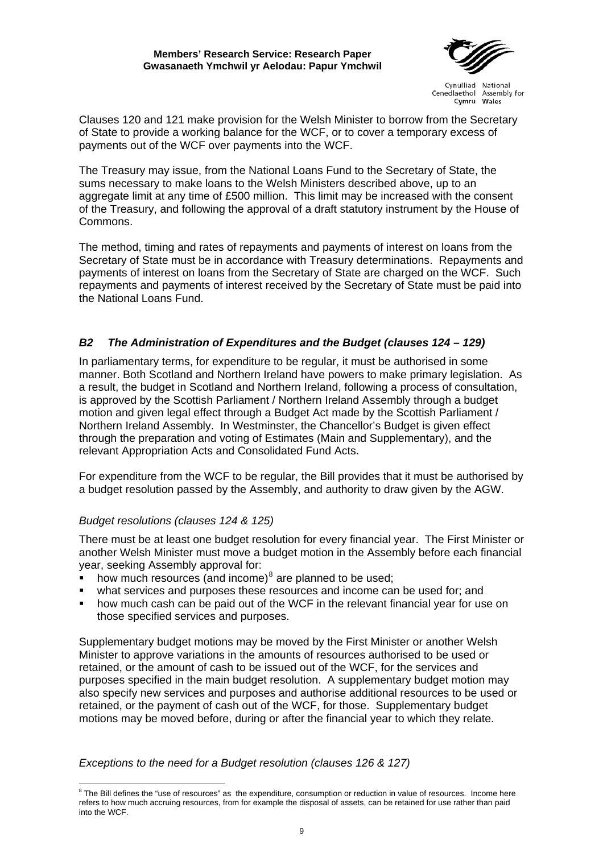#### **Members' Research Service: Research Paper Gwasanaeth Ymchwil yr Aelodau: Papur Ymchwil**



Cynulliad National Cenedlaethol Assembly for Cymru Wales

<span id="page-16-0"></span>Clauses 120 and 121 make provision for the Welsh Minister to borrow from the Secretary of State to provide a working balance for the WCF, or to cover a temporary excess of payments out of the WCF over payments into the WCF.

The Treasury may issue, from the National Loans Fund to the Secretary of State, the sums necessary to make loans to the Welsh Ministers described above, up to an aggregate limit at any time of £500 million. This limit may be increased with the consent of the Treasury, and following the approval of a draft statutory instrument by the House of Commons.

The method, timing and rates of repayments and payments of interest on loans from the Secretary of State must be in accordance with Treasury determinations. Repayments and payments of interest on loans from the Secretary of State are charged on the WCF. Such repayments and payments of interest received by the Secretary of State must be paid into the National Loans Fund.

# *B2 The Administration of Expenditures and the Budget (clauses 124 – 129)*

In parliamentary terms, for expenditure to be regular, it must be authorised in some manner. Both Scotland and Northern Ireland have powers to make primary legislation. As a result, the budget in Scotland and Northern Ireland, following a process of consultation, is approved by the Scottish Parliament / Northern Ireland Assembly through a budget motion and given legal effect through a Budget Act made by the Scottish Parliament / Northern Ireland Assembly. In Westminster, the Chancellor's Budget is given effect through the preparation and voting of Estimates (Main and Supplementary), and the relevant Appropriation Acts and Consolidated Fund Acts.

For expenditure from the WCF to be regular, the Bill provides that it must be authorised by a budget resolution passed by the Assembly, and authority to draw given by the AGW.

## *Budget resolutions (clauses 124 & 125)*

There must be at least one budget resolution for every financial year. The First Minister or another Welsh Minister must move a budget motion in the Assembly before each financial year, seeking Assembly approval for:

- $\bullet$  how much resources (and income)<sup>[8](#page-16-1)</sup> are planned to be used;
- what services and purposes these resources and income can be used for; and
- how much cash can be paid out of the WCF in the relevant financial year for use on those specified services and purposes.

Supplementary budget motions may be moved by the First Minister or another Welsh Minister to approve variations in the amounts of resources authorised to be used or retained, or the amount of cash to be issued out of the WCF, for the services and purposes specified in the main budget resolution. A supplementary budget motion may also specify new services and purposes and authorise additional resources to be used or retained, or the payment of cash out of the WCF, for those. Supplementary budget motions may be moved before, during or after the financial year to which they relate.

*Exceptions to the need for a Budget resolution (clauses 126 & 127)* 

<span id="page-16-1"></span> 8 The Bill defines the "use of resources" as the expenditure, consumption or reduction in value of resources. Income here refers to how much accruing resources, from for example the disposal of assets, can be retained for use rather than paid into the WCF.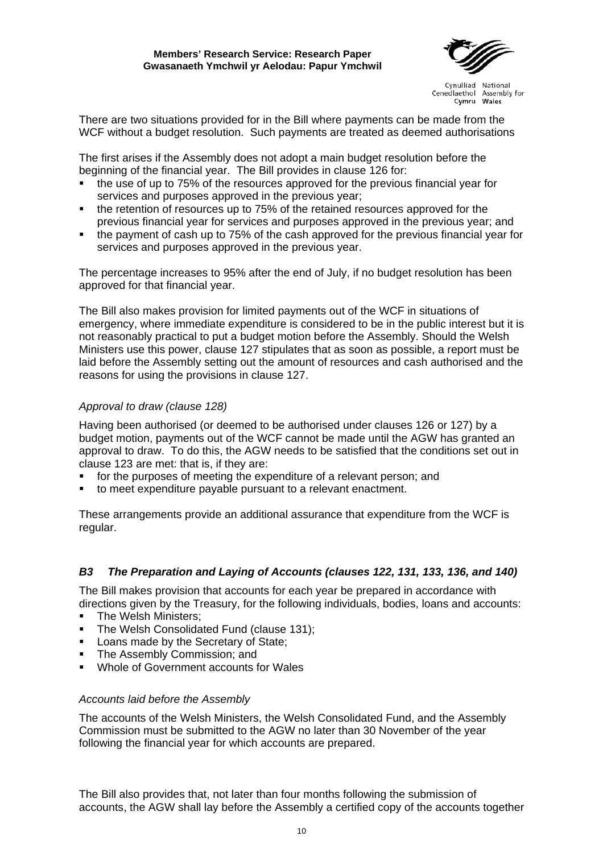

<span id="page-17-0"></span>There are two situations provided for in the Bill where payments can be made from the WCF without a budget resolution. Such payments are treated as deemed authorisations

The first arises if the Assembly does not adopt a main budget resolution before the beginning of the financial year. The Bill provides in clause 126 for:

- the use of up to 75% of the resources approved for the previous financial year for services and purposes approved in the previous year;
- the retention of resources up to 75% of the retained resources approved for the previous financial year for services and purposes approved in the previous year; and
- the payment of cash up to 75% of the cash approved for the previous financial year for services and purposes approved in the previous year.

The percentage increases to 95% after the end of July, if no budget resolution has been approved for that financial year.

The Bill also makes provision for limited payments out of the WCF in situations of emergency, where immediate expenditure is considered to be in the public interest but it is not reasonably practical to put a budget motion before the Assembly. Should the Welsh Ministers use this power, clause 127 stipulates that as soon as possible, a report must be laid before the Assembly setting out the amount of resources and cash authorised and the reasons for using the provisions in clause 127.

## *Approval to draw (clause 128)*

Having been authorised (or deemed to be authorised under clauses 126 or 127) by a budget motion, payments out of the WCF cannot be made until the AGW has granted an approval to draw. To do this, the AGW needs to be satisfied that the conditions set out in clause 123 are met: that is, if they are:

- for the purposes of meeting the expenditure of a relevant person; and
- to meet expenditure payable pursuant to a relevant enactment.

These arrangements provide an additional assurance that expenditure from the WCF is regular.

## *B3 The Preparation and Laying of Accounts (clauses 122, 131, 133, 136, and 140)*

The Bill makes provision that accounts for each year be prepared in accordance with directions given by the Treasury, for the following individuals, bodies, loans and accounts:

- The Welsh Ministers;
- The Welsh Consolidated Fund (clause 131);
- **Loans made by the Secretary of State;**
- The Assembly Commission; and
- Whole of Government accounts for Wales

#### *Accounts laid before the Assembly*

The accounts of the Welsh Ministers, the Welsh Consolidated Fund, and the Assembly Commission must be submitted to the AGW no later than 30 November of the year following the financial year for which accounts are prepared.

The Bill also provides that, not later than four months following the submission of accounts, the AGW shall lay before the Assembly a certified copy of the accounts together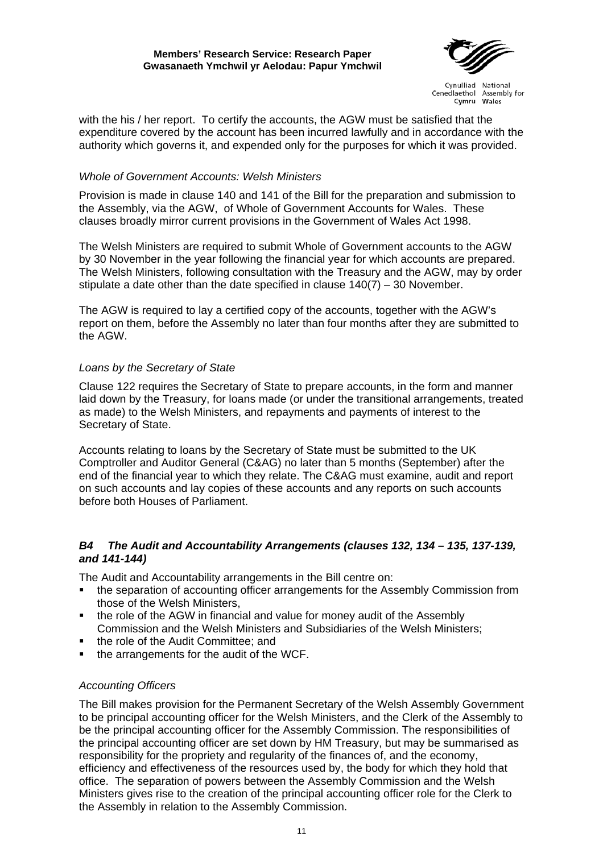

<span id="page-18-0"></span>with the his / her report. To certify the accounts, the AGW must be satisfied that the expenditure covered by the account has been incurred lawfully and in accordance with the authority which governs it, and expended only for the purposes for which it was provided.

#### *Whole of Government Accounts: Welsh Ministers*

Provision is made in clause 140 and 141 of the Bill for the preparation and submission to the Assembly, via the AGW, of Whole of Government Accounts for Wales. These clauses broadly mirror current provisions in the Government of Wales Act 1998.

The Welsh Ministers are required to submit Whole of Government accounts to the AGW by 30 November in the year following the financial year for which accounts are prepared. The Welsh Ministers, following consultation with the Treasury and the AGW, may by order stipulate a date other than the date specified in clause  $140(7) - 30$  November.

The AGW is required to lay a certified copy of the accounts, together with the AGW's report on them, before the Assembly no later than four months after they are submitted to the AGW.

#### *Loans by the Secretary of State*

Clause 122 requires the Secretary of State to prepare accounts, in the form and manner laid down by the Treasury, for loans made (or under the transitional arrangements, treated as made) to the Welsh Ministers, and repayments and payments of interest to the Secretary of State.

Accounts relating to loans by the Secretary of State must be submitted to the UK Comptroller and Auditor General (C&AG) no later than 5 months (September) after the end of the financial year to which they relate. The C&AG must examine, audit and report on such accounts and lay copies of these accounts and any reports on such accounts before both Houses of Parliament.

## *B4 The Audit and Accountability Arrangements (clauses 132, 134 – 135, 137-139, and 141-144)*

The Audit and Accountability arrangements in the Bill centre on:

- the separation of accounting officer arrangements for the Assembly Commission from those of the Welsh Ministers,
- the role of the AGW in financial and value for money audit of the Assembly Commission and the Welsh Ministers and Subsidiaries of the Welsh Ministers;
- the role of the Audit Committee; and
- the arrangements for the audit of the WCF.

## *Accounting Officers*

The Bill makes provision for the Permanent Secretary of the Welsh Assembly Government to be principal accounting officer for the Welsh Ministers, and the Clerk of the Assembly to be the principal accounting officer for the Assembly Commission. The responsibilities of the principal accounting officer are set down by HM Treasury, but may be summarised as responsibility for the propriety and regularity of the finances of, and the economy, efficiency and effectiveness of the resources used by, the body for which they hold that office. The separation of powers between the Assembly Commission and the Welsh Ministers gives rise to the creation of the principal accounting officer role for the Clerk to the Assembly in relation to the Assembly Commission.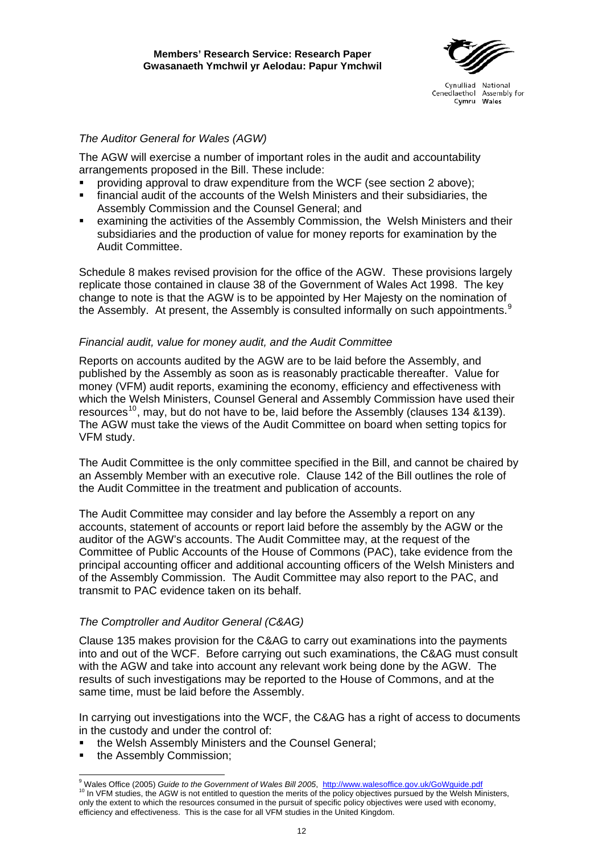

## *The Auditor General for Wales (AGW)*

The AGW will exercise a number of important roles in the audit and accountability arrangements proposed in the Bill. These include:

- providing approval to draw expenditure from the WCF (see section 2 above);
- financial audit of the accounts of the Welsh Ministers and their subsidiaries, the Assembly Commission and the Counsel General; and
- examining the activities of the Assembly Commission, the Welsh Ministers and their subsidiaries and the production of value for money reports for examination by the Audit Committee.

Schedule 8 makes revised provision for the office of the AGW. These provisions largely replicate those contained in clause 38 of the Government of Wales Act 1998. The key change to note is that the AGW is to be appointed by Her Majesty on the nomination of the Assembly. At present, the Assembly is consulted informally on such appointments. $9$ 

#### *Financial audit, value for money audit, and the Audit Committee*

Reports on accounts audited by the AGW are to be laid before the Assembly, and published by the Assembly as soon as is reasonably practicable thereafter. Value for money (VFM) audit reports, examining the economy, efficiency and effectiveness with which the Welsh Ministers, Counsel General and Assembly Commission have used their resources<sup>[10](#page-19-1)</sup>, may, but do not have to be, laid before the Assembly (clauses 134 &139). The AGW must take the views of the Audit Committee on board when setting topics for VFM study.

The Audit Committee is the only committee specified in the Bill, and cannot be chaired by an Assembly Member with an executive role. Clause 142 of the Bill outlines the role of the Audit Committee in the treatment and publication of accounts.

The Audit Committee may consider and lay before the Assembly a report on any accounts, statement of accounts or report laid before the assembly by the AGW or the auditor of the AGW's accounts. The Audit Committee may, at the request of the Committee of Public Accounts of the House of Commons (PAC), take evidence from the principal accounting officer and additional accounting officers of the Welsh Ministers and of the Assembly Commission. The Audit Committee may also report to the PAC, and transmit to PAC evidence taken on its behalf.

## *The Comptroller and Auditor General (C&AG)*

Clause 135 makes provision for the C&AG to carry out examinations into the payments into and out of the WCF. Before carrying out such examinations, the C&AG must consult with the AGW and take into account any relevant work being done by the AGW. The results of such investigations may be reported to the House of Commons, and at the same time, must be laid before the Assembly.

In carrying out investigations into the WCF, the C&AG has a right of access to documents in the custody and under the control of:

- the Welsh Assembly Ministers and the Counsel General;
- the Assembly Commission;

<span id="page-19-1"></span><span id="page-19-0"></span><sup>-&</sup>lt;br>9 <sup>10</sup> In VFM studies, the AGW is not entitled to question the merits of the policy objectives pursued by the Welsh Ministers, only the extent to which the resources consumed in the pursuit of specific policy objectives were used with economy, efficiency and effectiveness. This is the case for all VFM studies in the United Kingdom.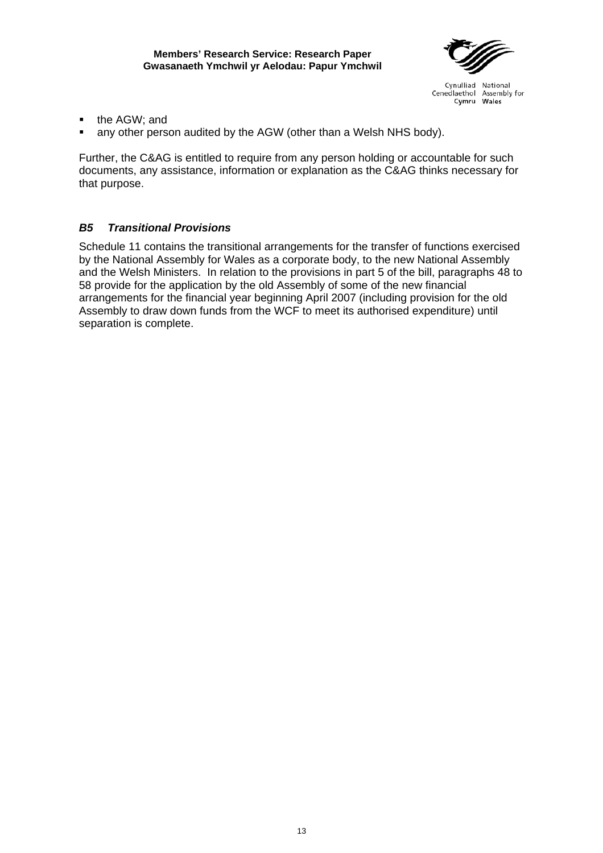

- <span id="page-20-0"></span>the AGW; and
- any other person audited by the AGW (other than a Welsh NHS body).

Further, the C&AG is entitled to require from any person holding or accountable for such documents, any assistance, information or explanation as the C&AG thinks necessary for that purpose.

## *B5 Transitional Provisions*

Schedule 11 contains the transitional arrangements for the transfer of functions exercised by the National Assembly for Wales as a corporate body, to the new National Assembly and the Welsh Ministers. In relation to the provisions in part 5 of the bill, paragraphs 48 to 58 provide for the application by the old Assembly of some of the new financial arrangements for the financial year beginning April 2007 (including provision for the old Assembly to draw down funds from the WCF to meet its authorised expenditure) until separation is complete.